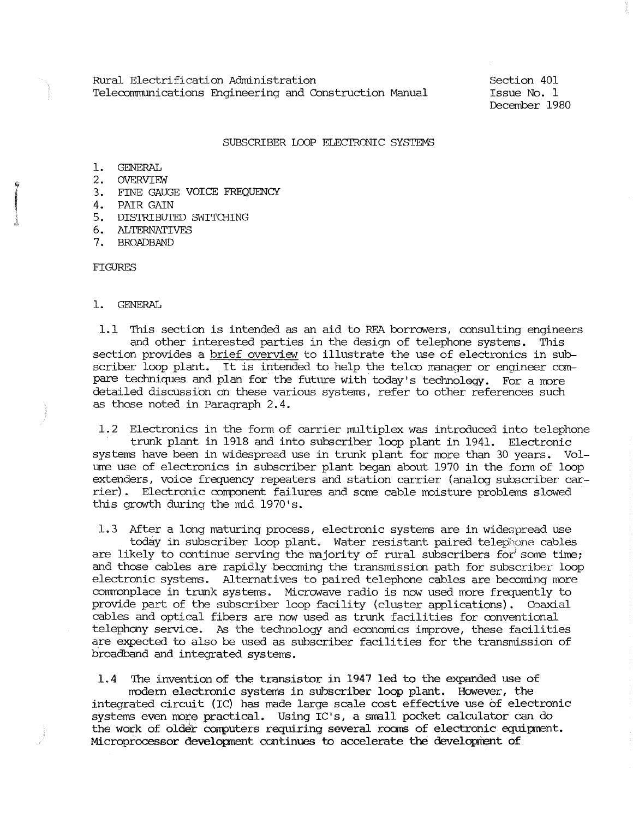Section 401 Issue No. 1 December 1980

## SUBSCRIBER LOOP ELECTRONIC SYSTEMS

- 1. GENERAL
- 2. OVERVIEW
- 3. FINE GAUGE VOICE FREQUENCY
- 4. PAIR GAIN
- 5. DISTRIBUTED SWITGIING
- 6. ALTERNATIVFS
- 7. BROADBAND

FIGURES

## 1. GENERAL

1.1 This section is intended as an aid to RF.A borrowers, consulting engineers and other interested parties in the design of telephone systems. This section provides a brief overview to illustrate the use of electronics in subscriber loop plant. It is intended to help the telco manager or engineer canpare techniques and plan for the future with today's technology. For a more detailed discussion on these various systems, refer to other references such as those noted in Paragraph 2.4.

1.2 Electronics in the form of carrier multiplex was introduced into telephone trunk plant in 1918 and into subscriber loop plant in 1941. Electronic systems have been in widespread use in trunk plant for more than 30 years. Volume use of electronics in subscriber plant began about 1970 in the form of loop extenders, voice frequency repeaters and station carrier (analog subscriber carrier). Electronic component failures and some cable moisture problems slowed this growth during the mid 1970's.

1.3 After a long maturing process, electronic systems are in widespread use today in subscriber loop plant. Water resistant paired telephone cables are likely to continue serving the majority of rural subscribers for some time; and those cables are rapidly becoming the transmission path for subscriber loop electronic systems. Alternatives to paired telephone cables are becoming more comronplace in trunk systems. Microwave radio is now used more frequently to provide part of the subscriber loop facility (cluster applications). Coaxial cables and optical fibers are now used as trunk facilities for conventional telephony service. As the technology and economics improve, these facilities are expected to also be used as subscriber facilities for the transmission of broadband and integrated systems.

1.4 The invention of the transistor in 1947 led to the expanded use of modern electronic systems in subscriber loop plant. However, the integrated circuit (IC) has made large scale cost effective use of electronic systems even more practical. Using IC's, a small pocket calculator can do the work of older computers requiring several rooms of electronic equipment. Microprocessor developnent ccntinues to accelerate the development of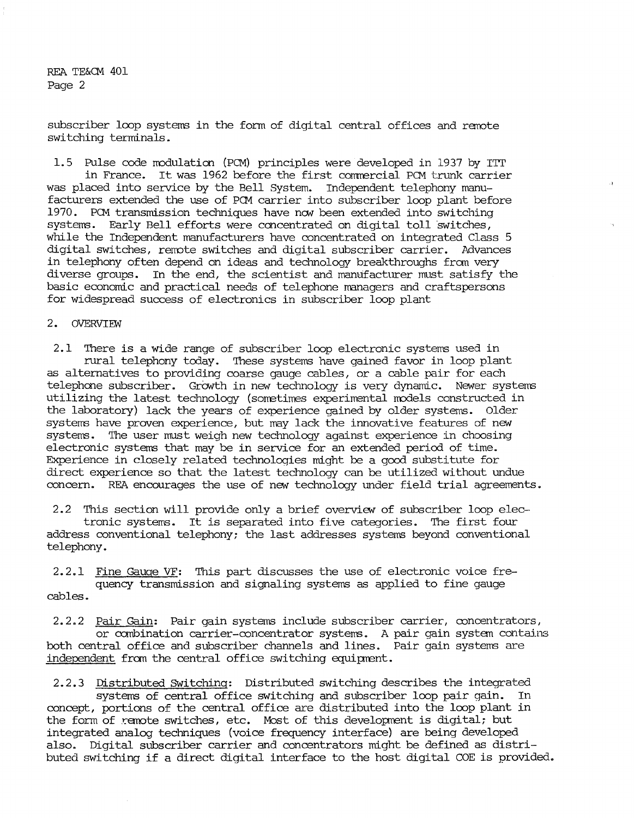subscriber loop systems in the form of digital central offices and remote switching terminals.

1.5 Pulse code modulation (PCM) principles were developed in 1937 by ITT in France. It was 1962 before the first commercial PCM trunk carrier was placed into service by the Bell System. Independent telephony manufacturers extended the use of PCM carrier into subscriber loop plant before 1970. PCM transmission techniques have now been extended into switching systems. Early Bell efforts were concentrated on digital toll switches, while the Independent manufacturers have concentrated on integrated Class 5 digital switches, remote switches and digital subscriber carrier. Advances in telephony often depend on ideas and technology breakthroughs fran very diverse groups. In the end, the scientist and manufacturer must satisfy the basic economic and practical needs of telephone managers and craftspersons for widespread success of electronics in subscriber loop plant

## 2. OVERVTEW

2 .1 There is a wide range of subscriber loop electronic systems used in rural telephony today. These systems have gained favor in loop plant as alternatives to providing coarse gauge cables, or a cable pair for each telephone subscriber. Growth in new technology is very dynamic. Newer systems utilizing the latest technology (sometimes experimental models constructed in the laboratory) lack the years of experience gained by older systems. Older systems have proven experience, but may lack the innovative features of new systems. The user must weigh new technology against experience in choosing electronic systems that may be in service for an extended period of time. Experience in closely related technologies might be a good substitute for direct experience so that the latest technology can be utilized without undue concern. REA encourages the use of new technology under field trial agreements.

2.2 This section will provide only a brief overview of subscriber loop electronic systems. It is separated into five categories. The first four address conventional telephony; the last addresses systems beyond conventional telephony.

2.2.1 Fine Gauge VF: This part discusses the use of electronic voice frequency transmission and signaling systems as applied to fine gauge cables.

2. 2. 2 Pair Gain: Pair gain systems include subscriber carrier, ooncentrators, or canbination carrier-ooncentrator systems. A pair gain system contains both central office and subscriber channels and lines. Pair gain systems are independent from the central office switching equipment.

2.2.3 Distributed switching: Distributed switching describes the integrated systems of central office switching and subscriber loop pair gain. In concept, portions of the central office are distributed into the loop plant in the form of remote switches, etc. Most of this development is digital; but integrated analog techniques (voice frequency interface) are being developed also. Digital subscriber carrier and concentrators might be defined as distributed switching if a direct digital interface to the host digital COE is provided.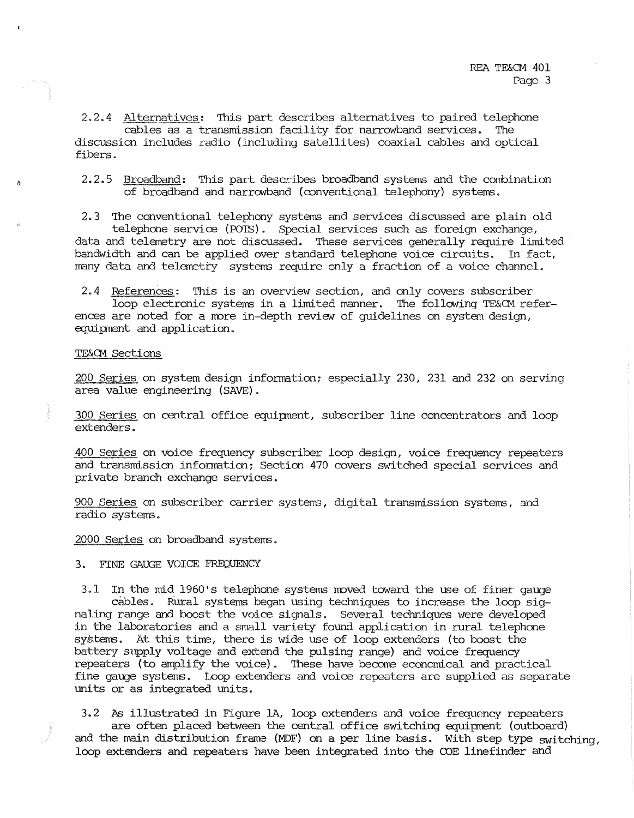2.2.4 Alternatives: This part describes alternatives to paired telephone cables as a transmission facility for narrowband services. The discussion includes radio (including satellites) coaxial cables and optical fibers.

2.2.5 Broadband: This part describes broadband systems and the conbination of broadband and narrowband (mnventional telephony) systems.

2.3 The conventional telephony systems and services discussed are plain old telephone service (PO'IS). Special services such as foreign exchange, data and telemetry are not discussed. These services generally require limited· bandwidth and can be applied over standard telephone voice circuits. In fact, many data and telemetry systems require only a fraction of a voice channel.

2. 4 References: This is an overview section, and only covers subscriber loop electronic systems in a limited manner. The following TE&CM references are noted for a more in-depth review of quidelines on system design, equipnent and application.

#### TE&CM Sections

200 Series on system design infornation; especially 230, 231 and 232 on serving area value engineering (SAVE).

300 Series on central office equipnent, subscriber line concentrators and loop extenders.

400 Series on voice frequency subscriber loop desiqn, voice frequency repeaters and transmission infornaticn; Section 470 covers switched special services and private branch exchange services.

900 Series on subscriber carrier systems, digital transmission systems, and radio systems.

2000 Series on broadband systems.

### 3. FINE GAUGE VOICE FREQUENCY

3.1 In the mid 1960's telephone systems moved toward the use of finer gauge cables. Rural systems began using techniques to increase the loop signaling range and boost the voice signals. Several techniques were developed in the laboratories and a small variety found application in rural telephone systems. At this time, there is wide use of loop extenders (to boost the battery supply voltage and extend the pulsing range) and voice frequency repeaters (to amplify the voice). These have become economical and practical fine gauge systems. Loop extenders and voice repeaters are supplied as separate units or as integrated units.

3.2 As illustrated in Figure 1A, loop extenders and voice frequency repeaters are often placed between the central office switching equipnent (outboard) and the main distribution frame (MDF) on a per line basis. With step type switching, loop extenders and repeaters have been integrated into the COE linefinder and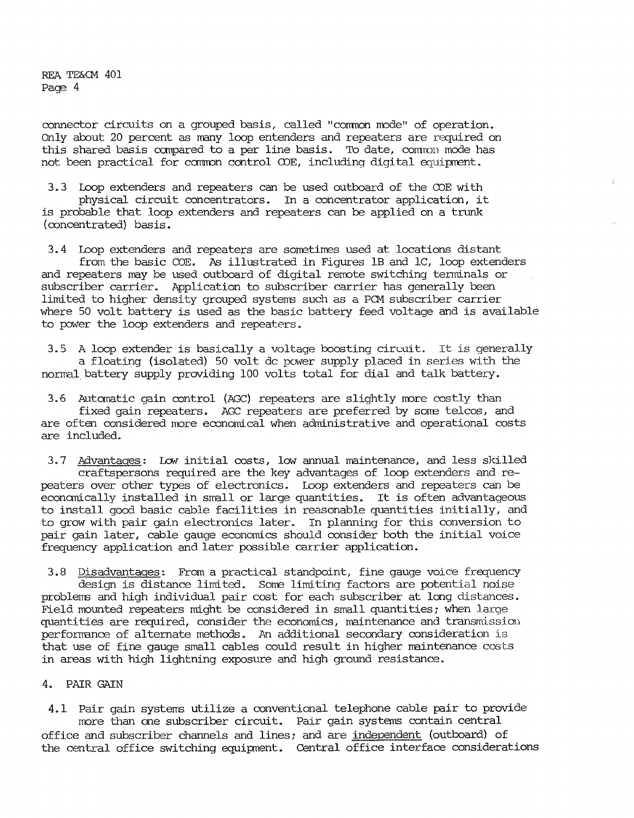connector circuits on a grouped basis, called "common mode" of operation. Only about 20 percent as many loop entenders and repeaters are required on this shared basis canpared to a per line basis. To date, comron mode has not been practical for common control COE, including digital equipment.

3.3 Loop extenders and repeaters can be used outboard of the COE with physical circuit concentrators. In a concentrator application, it is probable that loop extenders and repeaters can be applied on a trunk (concentrated) basis.

3.4 Loop extenders and repeaters are sorretimes used at locations distant from the basic COE. As illustrated in Figures 1B and 1C, loop extenders and repeaters may be used outboard of digital remote switching terminals or subscriber carrier. Application to subscriber carrier has generally been limited to higher density grouped systems such as a PCM subscriber carrier where 50 volt battery is used as the basic battery feed voltage and is available to power the loop extenders and repeaters.

3.5 A loop extender is basically a voltage boosting circuit. It is generally a floating (isolated) 50 volt de power supply placed in series with the normal.battery supply providing 100 volts total for dial and talk battery.

3.6 Automatic gain control (AGC) repeaters are slightly more costly than fixed gain repeaters. AGC repeaters are preferred by some telcos, and are often considered more economical when administrative and operational costs are included.

3.7 Advantages: Low initial costs, low annual maintenance, and less skilled craftspersons required are the key advantages of loop extenders and repeaters over other types of electronics. Loop extenders and repeaters can be econanically installed in small or large quantities. It is often advantageous to install good basic cable facilities in reasonable quantities initially, and to grow with pair gain electronics later. In planning for this conversion to pair gain later, cable gauge economics should consider both the initial voice frequency application and later possible carrier application.

3.8 Disadvantages: From a practical standpoint, fine gauge voice frequency design is distance limited. Some limiting factors are potential noise problems and high individual pair cost for each subscriber at long distances. Field mounted repeaters might be considered in small quantities; when larqe quantities are required, consider the economics, maintenance and transmission performance of alternate methods. An additional secondary consideration is that use of fine gauge small cables could result in higher maintenance costs in areas with high lightning exposure and high ground resistance.

# 4. PAIR GAIN

4.1 Pair gain systems utilize a conventional telephone cable pair to provide more than one subscriber circuit. Pair gain systems contain central office and subscriber channels and lines; and are independent (outboard) of the central office switching equipnent. Central office interface considerations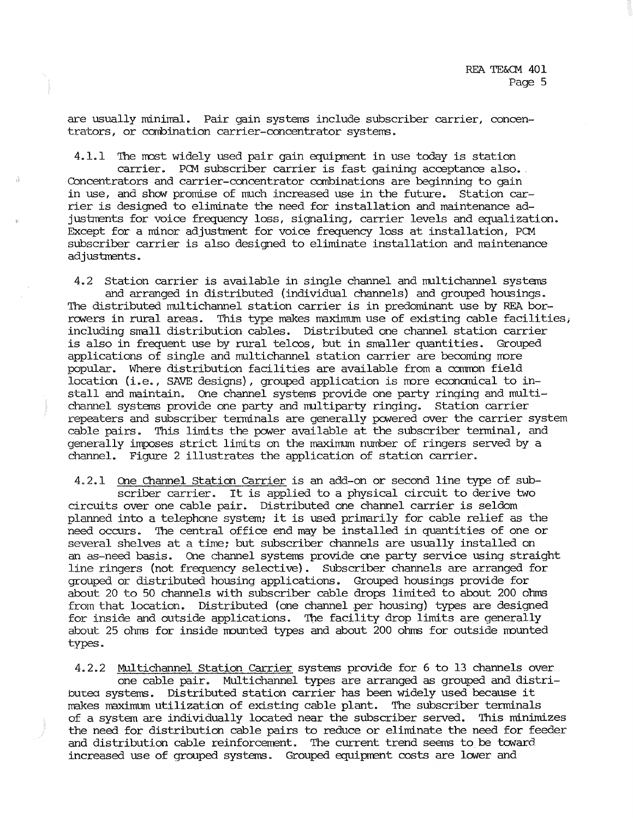are usually minimal. Pair gain systems include subscriber carrier, concentrators, or conbination carrier-concentrator systems.

4.1.1 The most widely used pair gain equipment in use today is station carrier. PCM subscriber carrier is fast gaining acceptance also. Concentrators and carrier-concentrator ccmbinations are beginning to gain in use, and show promise of much increased use in the future. Station carrier is designed to eliminate the need for installation and maintenance adjustments for voice frequency loss, signaling, carrier levels and equalization. Except for a minor adjustment for voice frequency loss at installation, PCM subscriber carrier is also designed to eliminate installation and naintenance adjustments.

4.2 Station carrier is available in single channel and multichannel systems and arranged in distributed (individual channels) and grouped housings. The distributed multichannel station carrier is in predominant use by REA borrowers in rural areas. This type makes maximum use of existing cable facilities; including srrall distribution cables. Distributed one channel station carrier is also in frequent use by rural telcos, but in smaller quantities. Grouped applications of single and multichannel station carrier are becoming more popular. Where distribution facilities are available from a camron field location (i.e., SAVE designs), grouped application is more economical to install and maintain. One channel systems provide one party ringing and multichannel systems provide one party and multiparty ringing. Station carrier repeaters and subscriber terminals are generally powered over the carrier system cable pairs. This limits the power available at the subscriber terminal, and generally imposes strict limits on the maximmn number of ringers served by a channel. Figure 2 illustrates the application of station carrier.

4.2.1 One Channel Station Carrier is an add-on or second line type of subscriber carrier. It is applied to a physical circuit to derive two circuits over one cable pair. Distributed one channel carrier is seldom planned into a telephone system; it is used primarily for cable relief as the need occurs. The central office end may be installed in quantities of one or several shelves at a time; but subscriber channels are usually installed on an as-need basis. One channel systems provide one party service using straight line ringers (not frequency selective). Subscriber channels are arranged for grouped or distributed housing applications. Grouped housings provide for about 20 to 50 channels with subscriber cable drops limited to about 200 ohms from that location. Distributed (one channel per housing) types are designed for inside and outside applications. The facility drop limits are generally about 25 ohms for inside mounted types and about 200 ohms for outside mounted types.

4.2.2 Multichannel Station carrier systems provide for 6 to 13 channels over one cable pair. Multichannel types are arranged as grouped and distributea systems. Distributed station carrier has been widely used because it makes maximum utilization of existing cable plant. The subscriber terminals of a system are individually located near the subscriber served. This minimizes the need for distribution cable pairs to reduce or eliminate the need for feeder and distribution cable reinforcement. The current trend seems to be toward increased use of grouped systems. Grouped equipment costs are lower and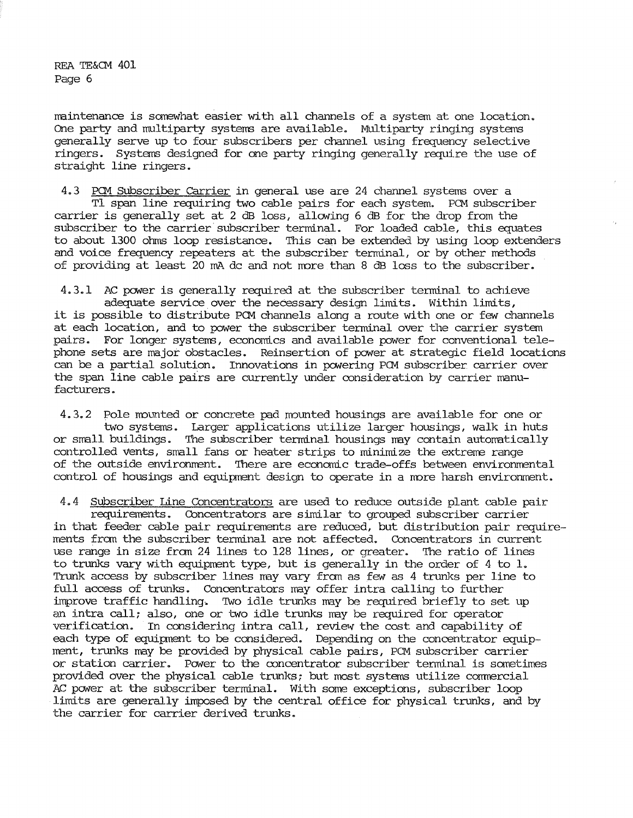maintenance is somewhat easier with all channels of a system at one location. One party and multiparty systems are available. Multiparty ringing systems generally serve up to four subscribers per channel using frequency selective ringers. Systems designed for one party ringing generally require the use of straight line ringers.

4. 3 PCM SUbscriber Carrier in general use are 24 channel systems over a Tl span line requiring two cable pairs for each system. PCM subscriber carrier is generally set at 2 dB loss, allowing 6 dB for the drop from the subscriber to the carrier subscriber terminal. For loaded cable, this equates to about 1300 ohms loop resistance. This can be extended by using loop extenders and voice frequency repeaters at the subscriber tenninal, or by other methods of providing at least 20 mA de and not rrore than 8 dB lass to the subscriber.

4.3.1 AC power is generally required at the subscriber terminal to achieve adequate service over the necessary design limits. Within limits, it is possible to distribute PCM channels along a route with one or few channels at each location, and to power the subscriber terminal over the carrier system pairs. For longer systems, economics and available power for conventional telephone sets are major obstacles. Reinsertion of power at strategic field locations can be a partial solution. Innovations in powering PCM subscriber carrier over the span line cable pairs are currently under consideration by carrier manufacturers.

4.3.2 Pole mounted or concrete pad mounted housings are available for one or two systems. Larger applications utilize larger housings, walk in huts or small buildings. The subscriber terminal housings may contain automatically controlled vents, small fans or heater strips to minimize the extreme range of the outside environment. There are economic trade-offs between environmental control of housings and equipment design to operate in a more harsh environment.

4.4 Subscriber Line Concentrators are used to reduce outside plant cable pair requirements. Concentrators are similar to grouped subscriber carrier in that feeder cable pair requirements are reduced, but distribution pair requirements fran the subscriber terminal are not affected. Concentrators in current use range in size fran 24 lines to 128 lines, or greater. The ratio of lines to trunks vary with equipment type, but is generally in the order of 4 to 1. Trunk access by subscriber lines may vary from as few as 4 trunks per line to full access of trunks. Concentrators may offer intra calling to further improve traffic handling. 'Iwo idle trunks may be required briefly to set up an intra call; also, one or two idle trunks may be required for operator verification. In considering intra call, review the cost and capability of each type of equipment to be considered. Depending on the concentrator equipment, trunks may be provided by physical cable pairs, PCM subscriber carrier or station carrier. Power to the concentrator subscriber terminal is sometimes provided over the physical cable trunks; but most systems utilize comnercial AC power at the subscriber terminal. With some exceptions, subscriber loop limits are generally imposed by the central office for physical trunks, and by the carrier for carrier derived trunks.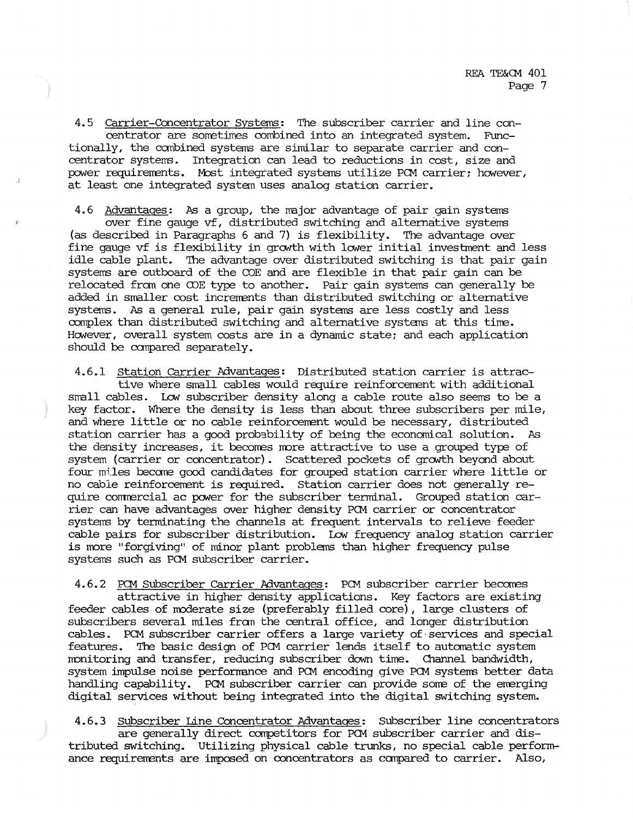4. 5 Carrier-Concentrator Systems: The subscriber carrier and line concentrator are sometimes combined into an integrated system. Functionally, the canbined systems are similar to separate carrier and concentrator systems. Integration can lead to reductions in cost, size and power requirements. Most integrated systems utilize PCM carrier; however, at least one integrated system uses analog station carrier.

4.6 Advantages: As a group, the major advantage of pair gain systems over fine gauge vf, distributed switching and alternative systems (as described in Paragraphs 6 and 7) is flexibility. The advantage over fine gauge vf is flexibility in growth with lower initial investment and less idle cable plant. The advantage over distributed switching is that pair gain systems are outboard of the COE and are flexible in that pair gain can be relocated from one OOE type to another. Pair gain systems can generally be added in smaller cost increrrents than distributed switching or alternative systems. As a general rule, pair gain systems are less costly and less complex than distributed switching and alternative systems at this time. However, overall system costs ate in a dynamic state; and each application should be canpared separately.

4.6.1 Station Carrier Advantages: Distributed station carrier is attractive where small cables would require reinforcement with additional small cables. Low' subscriber density along a cable route also seems to be a key factor. Where the density is less than about three subscribers per mile, and where little or no cable reinforcement would be necessary, distributed station carrier has a good probability of being the econanical solution. As the density increases, it becomes more attractive to use a grouped type of system (carrier or concentrator). Scattered pockets of growth beyond about four miles become good candidates for grouped station carrier where little or no cable reinforcement is required. Station carrier does not generally require commercial ac power for the subscriber terminal. Grouped station carrier can have advantages over higher density PCM carrier or concentrator systems by terminating the channels at frequent intervals to relieve feeder cable pairs for subscriber distribution. Low' frequency analog station carrier is more "forgiving" of minor plant problems than higher frequency pulse systems such as PCM subscriber carrier.

4.6.2 PCM Subscriber Carrier Mvantages: PCM subscriber carrier becanes attractive in higher density applications. Key factors are existing feeder cables of moderate size (preferably filled core), large clusters of subscribers several miles fran the central office, and longer distribution cables. PCM subscriber carrier offers a large variety of· services and special features. The basic design of PCM carrier lends itself to automatic system nonitoring and transfer, reducing subscriber down time. Channel bandwidth, system impulse noise perforrrance and PCM encoding give PCM systems better data handling capability. PCM subscriber carrier can provide sorre of the emerging digital services without being integrated into the digital switching system.

4.6.3 Subscriber Line Concentrator Advantages: Subscriber line concentrators are generally direct competitors for PCM subscriber carrier and distributed switching. Utilizing physical cable trunks, no special cable perfonn- ance requirements are imposed on concentrators as compared to carrier. Also,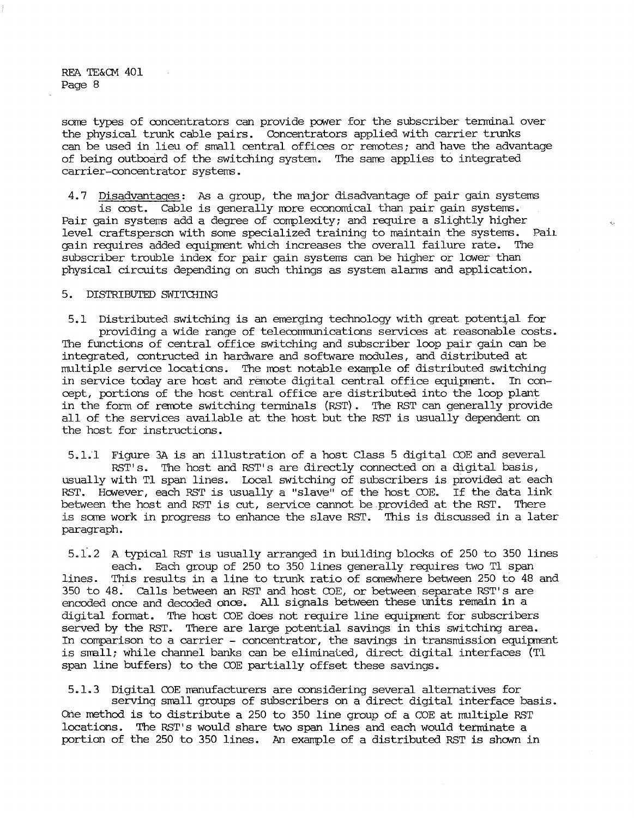some types of concentrators can provide power for the subscriber terminal over the physical trunk cable pairs. Concentrators applied with carrier trunks can be used in lieu of small central offices or remotes; and have the advantage of being outboard of the switching system. The same applies to integrated carrier-concentrator systems.

4. 7 Disadvantages: As a group, the major disadvantage of pair gain systems is cost. Cable is generally more economical than pair gain systems. Pair gain systems add a degree of corrplexity; and require a slightly higher level craftsperson with some specialized training to maintain the systems. Pai1 gain requires added equipment which increases the overall failure rate. The subscriber trouble index for pair gain systems can be higher or lower than physical circuits depending on such things as system alarms and application.

## 5. DISTRIBUTED SWITCHING

5.1 Distributed switching is an emerging technology with great potential for providing a wide range of telecommunications services at reasonable costs. The functions of central office switching and subscriber loop pair gain can be integrated, contructed in hardware and software modules, and distributed at multiple service locations. The most notable example of distributed switching in service today are host and remote digital central office equipment. In concept, portions of the host central office are distributed into the loop plant in the form of remote switching terminals (RST). The RST can generally provide all of the services available at the host but the RST is usually dependent on the host for instructions.

5.1.'l Figure 3A is an illustration of a host Class 5 digital COE and several RST' s. The host and RST' s are directly connected on a digital basis, usually with Tl span lines. Local switching of subscribers is provided at each RST. However, each RST is usually a "slave" of the host COE. If the data link between the host and RST is cut, service cannot be provided at the RST. There is some work in progress to enhance the slave RST. This is discussed in a later paragraph.

5.1·.2 A typical RST is usually arranged in building blocks of 250 to 350 lines each. Each group of 250 to 350 lines generally requires two Tl span lines. This results in a line to trunk ratio of somewhere between 250 to 48 and 350 to 48.' Calls between an RST and host COE, or between. separate RST' s are encoded once and decoded once. All signals between these units remain in a digital fonnat. The host COE does not require line equipment for subscribers served by the RST. There are large potential savings in this switching area. In comparison to a carrier - concentrator, the savings in transmission equipment is small; while channel banks can be eliminaled, direct digital interfaces (Tl span line buffers) to the COE partially offset these savings.

5.1.3 Digital COE manufacturers are considering several alternatives for serving small groups of subscribers on a direct digital interface basis. One method is to distribute a 250 to 350 line group of a COE at multiple RST locations. The RST' s would share two span lines and each would terminate a portion of the 250 to 350 lines. An example of a distributed RST is shown in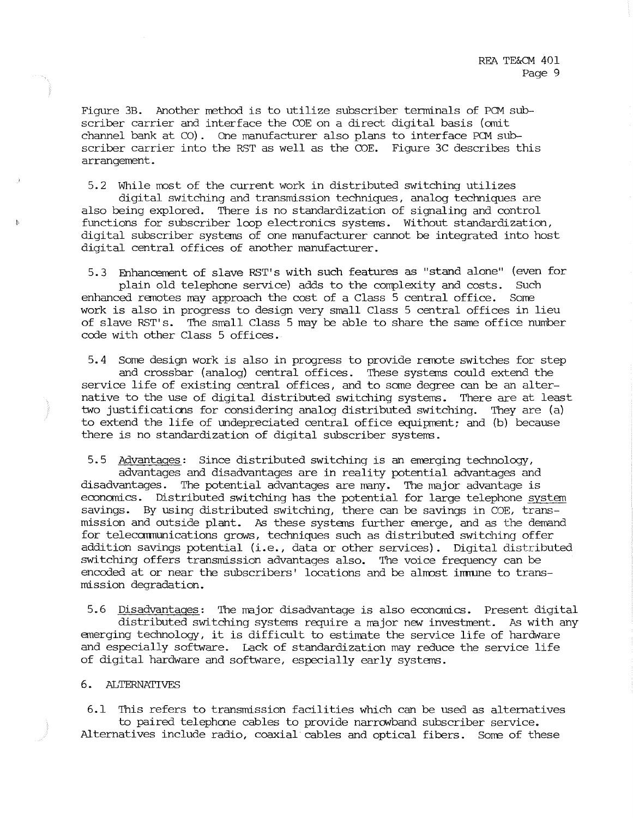Figure 3B. Another method is to utilize subscriber terminals of PCM subscriber carrier and interface the COE on a direct digital basis (omit channel bank at CO). One manufacturer also plans to interface PCM subscriber carrier into the RST as well as the COE. Figure 3C describes this arrangement.

5.2 While most of the current work in distributed switching utilizes

digital switching and transmission techniques, analog techniques are also being explored. There is no standardization of signaling and control functions for subscriber loop electronics systems. Without standardization, digital subscriber systems of one manufacturer cannot be integrated into host digital central offices of another manufacturer.

5.3 Enhancement of slave RST's with such features as "stand alone" (even for plain old telephone service) adds to the complexity and costs. Such enhanced renotes may approach the cost of a Class 5 central office. Some work is also in progress to design very small Class 5 central offices in lieu of slave RST' s. The small Class 5 may be able to share the same office number code with other Class 5 offices.

5.4 Some design work is also in progress to provide remote switches for step and crossbar (analog) central offices. These systems could extend the service life of existing central offices, and to some degree can be an alternative to the use of digital distributed switching systems. There are at least two justifications for considering analog distributed switching. They are (a) to extend the life of undepreciated central office equipment; and (b) because there is no standardization of digital subscriber systems.

5.5 Advantages: Since distributed switching is an emerging technology, advantages and disadvantages are in reality potential advantages and disadvantages. The potential advantages are many. The major advantage is economics. Distributed switching has the potential for large telephone systen savings. By using distributed switching, there can be savings in COE, transmission and outside plant. As these systems further emerge, and as the demand for telecarmunications grows, techniques such as distributed switching offer addition savings potential (i.e. , data or other services) . Digital distributed switching offers transmission advantages also. The voice frequency can be encoded at or near the subscribers' locations and be almost immune to transmission degradation.

5.6 Disadvantages: The mjor disadvantage is also economics. Present digital distributed switching systems require a major new investment. As with any emerging technology, it is difficult to estimate the service life of hardware and especially software. Lack of standardization may reduce the service life of digital hardware and software, especially early systens.

## 6. ALTERNATIVES

6.1 This refers to transmission facilities which can be used as alternatives to paired telephcne cables to provide narrawband subscriber service. Alternatives include radio, coaxial cables and optical fibers. Some of these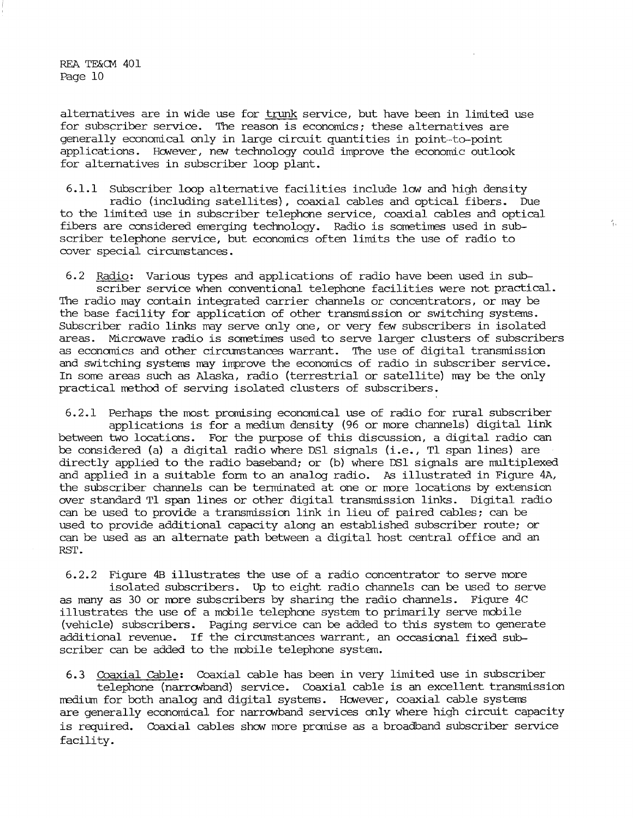alternatives are in wide use for trunk service, but have been in limited use for subscriber service. The reason is economics; these alternatives are generally economical only in large circuit quantities in point-to-point applications. However, nav technology could improve the economic outlook for alternatives in subscriber loop plant.

6.1.1 Subscriber **loop** alternative facilities include lOW" and high density radio (including satellites), coaxial cables and optical fibers. Due to the limited use **in** subscriber telephone service, coaxial cables and optical fibers are considered emerging technology. Radio is sometimes used in subscriber telephone service, but economics often limits the use of radio to cover special circumstances.

 $\frac{1}{3}$  ,

6. 2 Radio: Various types and applications of radio have been used in subscriber service when conventional telephone facilities were not practical. The radio may contain integrated carrier channels or concentrators, or may be the base facility for application of other transmission or switching systems. Subscriber radio links may serve only one, or very few subscribers in isolated areas. Microwave radio is sometimes used to serve larger clusters of subscribers as econanics and other circumstances warrant. The use of digital transmission and switching systems may improve the economics of radio in subscriber service. In some areas such as Alaska, radio (terrestrial or satellite) nay be the only practical method of serving isolated clusters of subscribers.

6.2.1 Perhaps the most promising economical use of radio for rural subscriber applications is for a medium density (96 or more channels) digital link between two locations. For the purpose of this discussion, a digital radio can be considered (a) a digital radio where DSl signals (i.e., Tl span lines) are directly applied to the radio baseband; or (b) where DSl signals are multiplexed and applied in a suitable form to an analog radio. As illustrated in Figure 4A, the subscriber channels can be terminated at one or more locations by extension over standard Tl span lines or other digital transmission links. Digital radio can be used to provide a transmission link in lieu of paired cables; can be used to provide additional capacity along an established subscriber route; or can be used as an alternate path between a digital host central office and an RST.

6.2.2 Figure 4B illustrates the use of a radio concentrator to serve more isolated subscribers. Up to eight radio channels can be used to serve as many as 30 or nore subscribers by sharing the radio channels. Figure 4C illustrates the use of a mobile telephone system to primarily serve mobile (vehicle) subscribers. Paging service can be added to this system to generate additional revenue. If the circumstances warrant, an occasional fixed subscriber can be added to the mobile telephone system.

6.3 Coaxial Cable: Coaxial cable has been in very limited use in subscriber telephone (narrowband) service. Coaxial cable is an excellent transmission medium for both analog and digital systems. However, coaxial cable systems are generally economical for narrowband services only where high circuit capacity is required. Coaxial cables show more promise as a broadband subscriber service facility.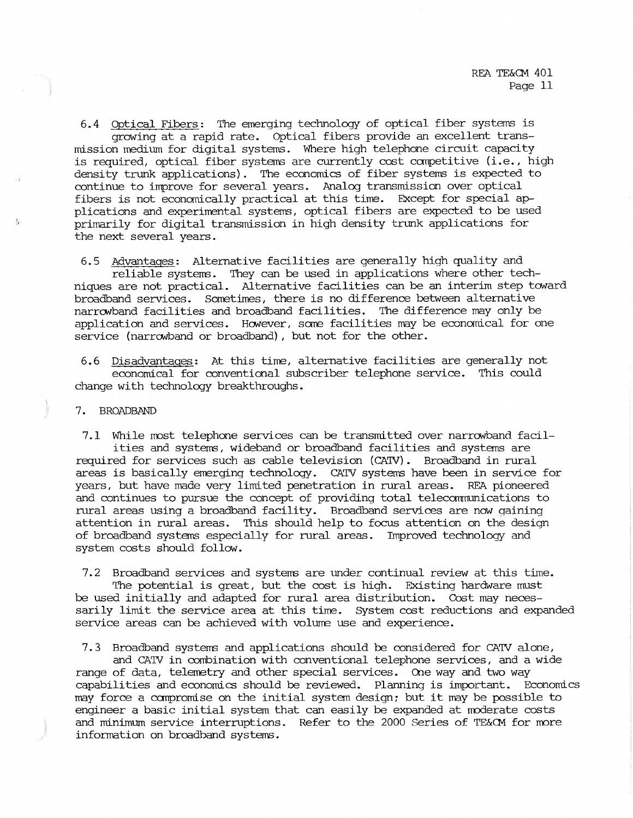6.4 Optical Fibers: The emerging technology of optical fiber systems is growing at a rapid rate. Optical fibers provide an excellent transmission medium for digital systems. Where high telephone circuit capacity is required, optical fiber systems are currently cost canpetitive (i.e., high density trunk applications). The economics of fiber systems is expected to continue to improve for several years. Analog transmission over optical fibers is not econcmically practical at this time. Except for special applications and experimental systems, optical fibers are expected to be used primarily for digital transmission in high density trunk applications for the next several years.

6.5 Advantages: Alternative facilities are generally high quality and reliable systems. They can be used in applications where other techniques are not practical. Alternative facilities can be an interim step toward broadband services. Sometimes, there is no difference between alternative narrowband facilities and broadband facilities. The difference may only be application and services. However, some facilities may be economical for one service (narrowband or broadband), but not for the other.

6.6 Disadvantages: At this time, alternative facilities are generally not economical for conventional subscriber telephone service. This could change with technology breakthroughs.

# 7. BROADBAND

7.1 While most telephone services can be transmitted over narrowband facilities and systems, wideband or broadband facilities and systems are required for services such as cable television (CATV). Broadband in rural areas is basically emerging technology. CATV systems have been in service for years, but have made very limited penetration in rural areas. REA pioneered and continues to pursue the concept of providing total telecanmunications to rural areas using a broadband facility. Broadband services are now gaining attention in rural areas. This should help to focus attention on the design of broadband systems especially for rural areas. Improved technology and system costs should follow.

7. 2 Broadband services and systems are under continual review at this time. The potential is great, but the cost is high. Existing hardware must be used initially and adapted for rural area distribution. Cost may necessarily limit the service area at this time. System cost reductions and expanded service areas can be achieved with volume use and experience.

7. 3 Broadband systems and applications should be considered for CA'IV alone, and CATV in combination with conventional telephone services, and a wide

range of data, telemetry and other special services. One way and two way capabilities and economics should be reviewed. Planning is important. Economics may force a canpromise on the initial system design; but it may be possible to engineer a basic initial system that can easily be expanded at moderate costs and minimum service interruptions. Refer to the 2000 Series of TE&CM for more information on broadband systems.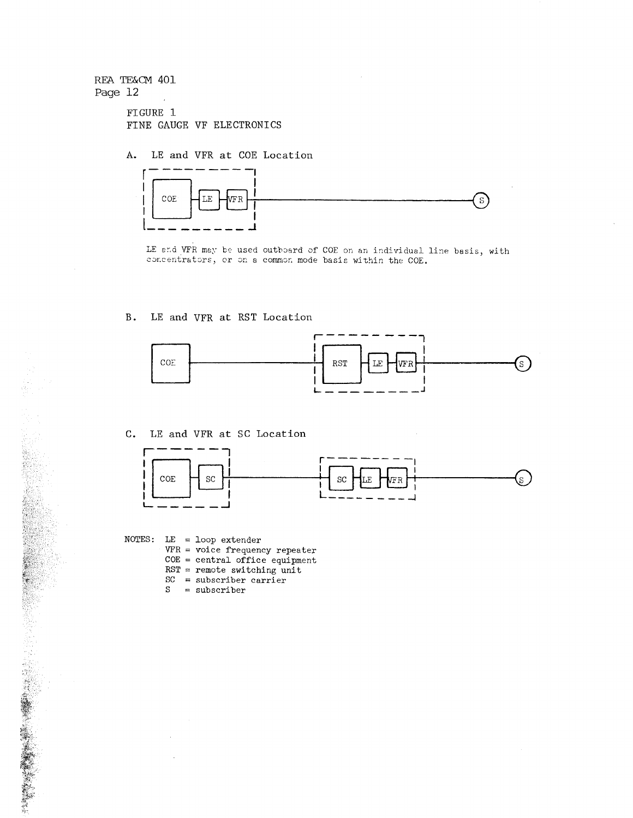FIGURE 1 FINE GAUGE VF ELECTRONICS

A. LE and VFR at COE Location



LE and VFR may be used outboard of COE on an individual line basis, with concentrators, or on a common mode basis within the COE.

### B. LE and VFR at RST Location



C. LE and VFR at SC Location



NOTES: LE *=* loop extender VFR = voice frequency repeater *COE=* central office equipment RST = remote switching unit  $SC =$  subscriber carrier<br> $S =$  subscriber  $=$  subscriber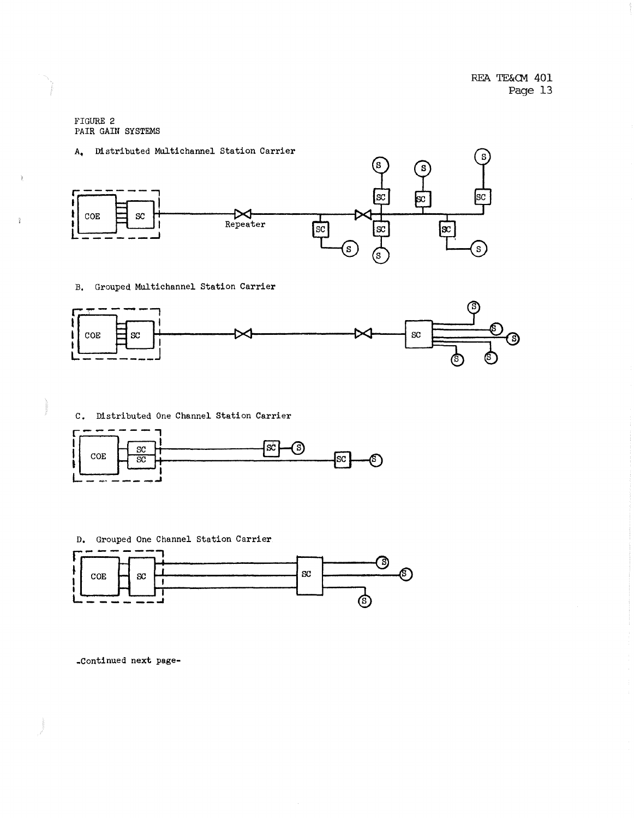FIGURE 2 PAIR GAIN SYSTEMS

i.<br>F

### A. Distributed Multichannel Station Carrier



B. Grouped Multichannel Station Carrier







• Continued next page-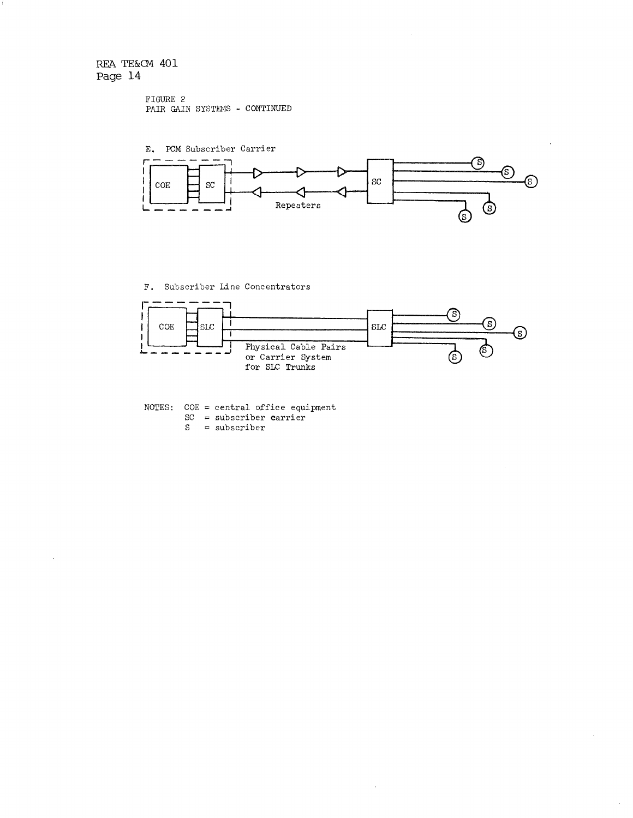```
FIGURE 2 
PAIR GAIN SYSTEMS - CONTINUED
```


F. Subscriber Line Concentrators



NOTES: COE = central office equipment  $SC =$  subscriber carrie  $S =$  subscriber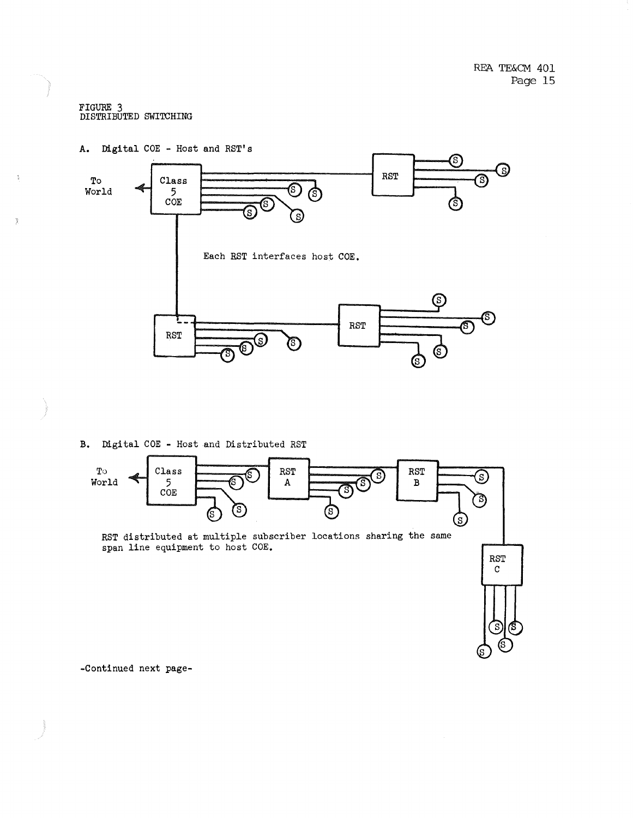#### FIGURE 3 DISTRIBUTED SWITCHING

 $\frac{1}{D}$ 

 $\tilde{\mathbf{y}}$ 



B. Digital COE - Host and Distributed RST



-Continued next page-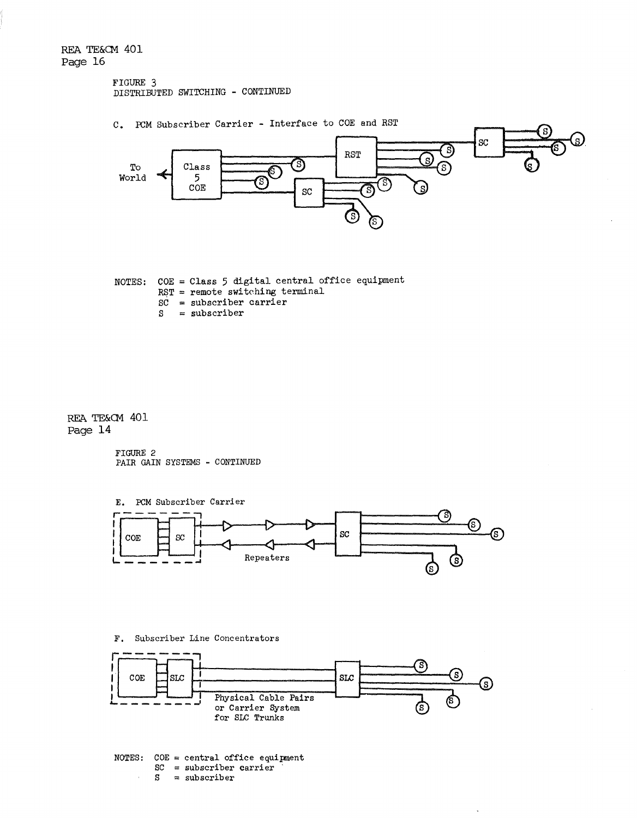#### FIGURE 3 DISTRIBUTED SWITCHING - CONTINUED



NOTES:  $COE = Class 5$  digital central office equipment RST = remote switching terminal  $SC =$  subscriber carrier<br> $S =$  subscriber  $=$  subscriber

REA TE&CM 401 Page 14

> FIGURE 2 PAIR GAIN SYSTEMS - CONTINUED



F. Subscriber Line Concentrators



 $SC =$  subscriber carrier  $S =$ subscriber